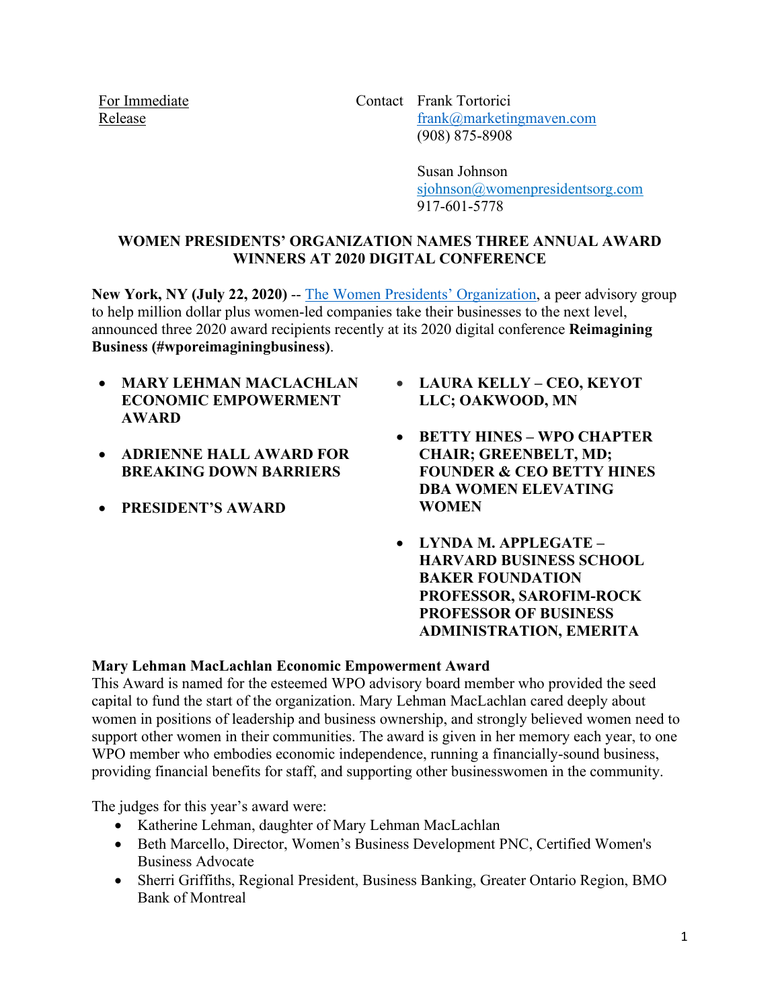For Immediate Release

Contact Frank Tortorici [frank@marketingmaven.com](mailto:frank@marketingmaven.com) (908) 875-8908

> Susan Johnson [sjohnson@womenpresidentsorg.com](mailto:sjohnson@womenpresidentsorg.com) 917-601-5778

# **WOMEN PRESIDENTS' ORGANIZATION NAMES THREE ANNUAL AWARD WINNERS AT 2020 DIGITAL CONFERENCE**

**New York, NY (July 22, 2020)** -- [The Women Presidents' Organization,](https://www.womenpresidentsorg.com/about/facts) a peer advisory group to help million dollar plus women-led companies take their businesses to the next level, announced three 2020 award recipients recently at its 2020 digital conference **Reimagining Business (#wporeimaginingbusiness)**.

- **MARY LEHMAN MACLACHLAN ECONOMIC EMPOWERMENT AWARD**
- **ADRIENNE HALL AWARD FOR BREAKING DOWN BARRIERS**
- **PRESIDENT'S AWARD**
- **LAURA KELLY – CEO, KEYOT LLC; OAKWOOD, MN**
- **BETTY HINES – WPO CHAPTER CHAIR; GREENBELT, MD; FOUNDER & CEO BETTY HINES DBA WOMEN ELEVATING WOMEN**
- **LYNDA M. APPLEGATE – HARVARD BUSINESS SCHOOL BAKER FOUNDATION PROFESSOR, SAROFIM-ROCK PROFESSOR OF BUSINESS ADMINISTRATION, EMERITA**

# **Mary Lehman MacLachlan Economic Empowerment Award**

This Award is named for the esteemed WPO advisory board member who provided the seed capital to fund the start of the organization. Mary Lehman MacLachlan cared deeply about women in positions of leadership and business ownership, and strongly believed women need to support other women in their communities. The award is given in her memory each year, to one WPO member who embodies economic independence, running a financially-sound business, providing financial benefits for staff, and supporting other businesswomen in the community.

The judges for this year's award were:

- Katherine Lehman, daughter of Mary Lehman MacLachlan
- Beth Marcello, Director, Women's Business Development PNC, Certified Women's Business Advocate
- Sherri Griffiths, Regional President, Business Banking, Greater Ontario Region, BMO Bank of Montreal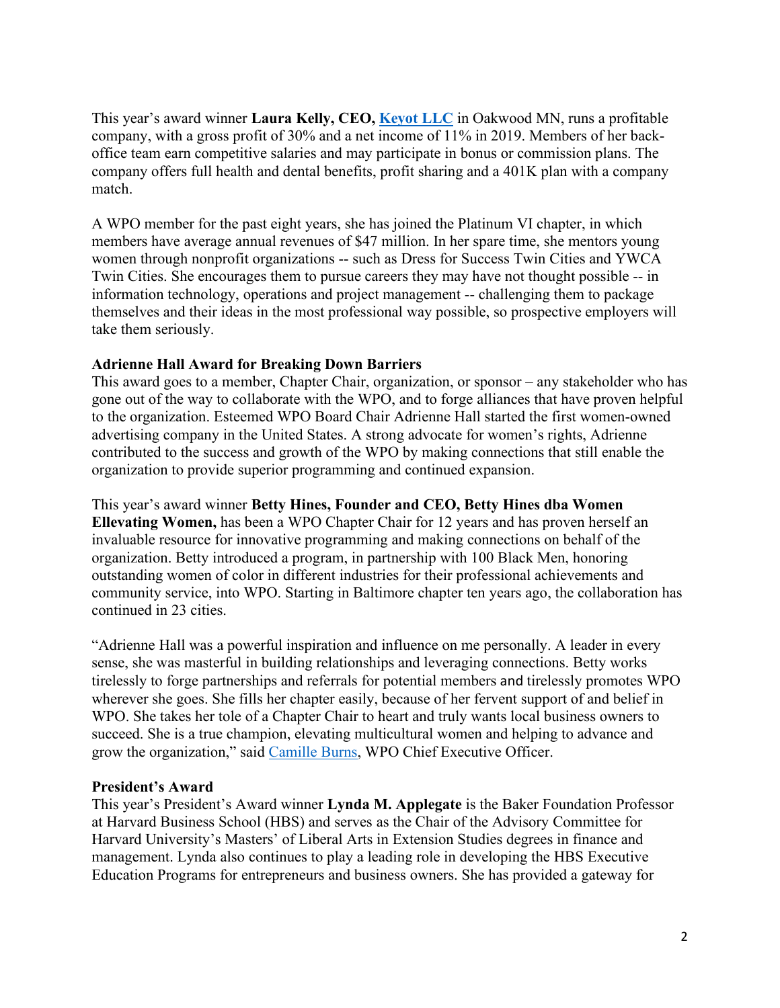This year's award winner **Laura Kelly, CEO, [Keyot LLC](https://www.keyot.com/)** in Oakwood MN, runs a profitable company, with a gross profit of 30% and a net income of 11% in 2019. Members of her backoffice team earn competitive salaries and may participate in bonus or commission plans. The company offers full health and dental benefits, profit sharing and a 401K plan with a company match.

A WPO member for the past eight years, she has joined the Platinum VI chapter, in which members have average annual revenues of \$47 million. In her spare time, she mentors young women through nonprofit organizations -- such as Dress for Success Twin Cities and YWCA Twin Cities. She encourages them to pursue careers they may have not thought possible -- in information technology, operations and project management -- challenging them to package themselves and their ideas in the most professional way possible, so prospective employers will take them seriously.

### **Adrienne Hall Award for Breaking Down Barriers**

This award goes to a member, Chapter Chair, organization, or sponsor – any stakeholder who has gone out of the way to collaborate with the WPO, and to forge alliances that have proven helpful to the organization. Esteemed WPO Board Chair Adrienne Hall started the first women-owned advertising company in the United States. A strong advocate for women's rights, Adrienne contributed to the success and growth of the WPO by making connections that still enable the organization to provide superior programming and continued expansion.

This year's award winner **Betty Hines, Founder and CEO, Betty Hines dba Women Ellevating Women,** has been a WPO Chapter Chair for 12 years and has proven herself an invaluable resource for innovative programming and making connections on behalf of the organization. Betty introduced a program, in partnership with 100 Black Men, honoring outstanding women of color in different industries for their professional achievements and community service, into WPO. Starting in Baltimore chapter ten years ago, the collaboration has continued in 23 cities.

"Adrienne Hall was a powerful inspiration and influence on me personally. A leader in every sense, she was masterful in building relationships and leveraging connections. Betty works tirelessly to forge partnerships and referrals for potential members and tirelessly promotes WPO wherever she goes. She fills her chapter easily, because of her fervent support of and belief in WPO. She takes her tole of a Chapter Chair to heart and truly wants local business owners to succeed. She is a true champion, elevating multicultural women and helping to advance and grow the organization," said [Camille Burns,](https://www.womenpresidentsorg.com/about/staff-contacts) WPO Chief Executive Officer.

#### **President's Award**

This year's President's Award winner **Lynda M. Applegate** is the Baker Foundation Professor at Harvard Business School (HBS) and serves as the Chair of the Advisory Committee for Harvard University's Masters' of Liberal Arts in Extension Studies degrees in finance and management. Lynda also continues to play a leading role in developing the HBS Executive Education Programs for entrepreneurs and business owners. She has provided a gateway for